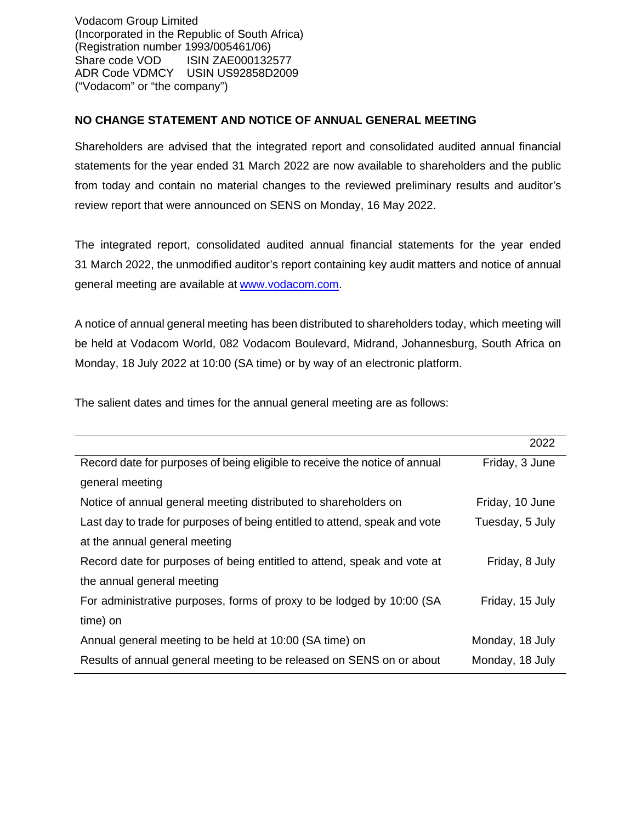Vodacom Group Limited (Incorporated in the Republic of South Africa) (Registration number 1993/005461/06) Share code VOD ISIN ZAE000132577 ADR Code VDMCY USIN US92858D2009 ("Vodacom" or "the company")

## **NO CHANGE STATEMENT AND NOTICE OF ANNUAL GENERAL MEETING**

Shareholders are advised that the integrated report and consolidated audited annual financial statements for the year ended 31 March 2022 are now available to shareholders and the public from today and contain no material changes to the reviewed preliminary results and auditor's review report that were announced on SENS on Monday, 16 May 2022.

The integrated report, consolidated audited annual financial statements for the year ended 31 March 2022, the unmodified auditor's report containing key audit matters and notice of annual general meeting are available at [www.vodacom.com.](http://www.vodacom.com/)

A notice of annual general meeting has been distributed to shareholders today, which meeting will be held at Vodacom World, 082 Vodacom Boulevard, Midrand, Johannesburg, South Africa on Monday, 18 July 2022 at 10:00 (SA time) or by way of an electronic platform.

The salient dates and times for the annual general meeting are as follows:

|                                                                            | 2022            |
|----------------------------------------------------------------------------|-----------------|
| Record date for purposes of being eligible to receive the notice of annual | Friday, 3 June  |
| general meeting                                                            |                 |
| Notice of annual general meeting distributed to shareholders on            | Friday, 10 June |
| Last day to trade for purposes of being entitled to attend, speak and vote | Tuesday, 5 July |
| at the annual general meeting                                              |                 |
| Record date for purposes of being entitled to attend, speak and vote at    | Friday, 8 July  |
| the annual general meeting                                                 |                 |
| For administrative purposes, forms of proxy to be lodged by 10:00 (SA      | Friday, 15 July |
| time) on                                                                   |                 |
| Annual general meeting to be held at 10:00 (SA time) on                    | Monday, 18 July |
| Results of annual general meeting to be released on SENS on or about       | Monday, 18 July |